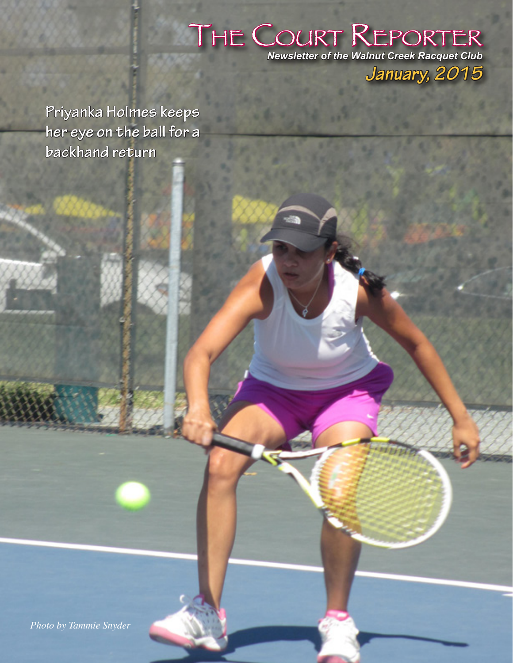## **THE COURT REPORTER**<br>Newsletter of the Walnut Creek Racquet Club *January, 2015*

**Priyanka Holmes keeps her eye on the ball for a backhand return**

*Photo by Tammie Snyder*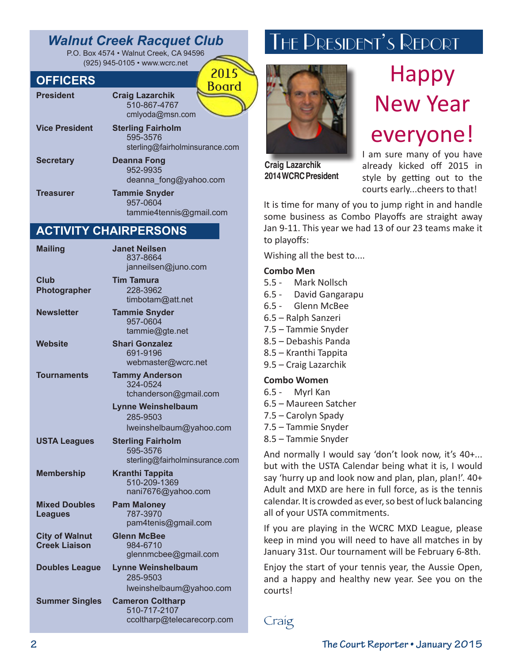### *Walnut Creek Racquet Club*

P.O. Box 4574 • Walnut Creek, CA 94596 (925) 945-0105 • www.wcrc.net

#### **OFFICERS**

| ULLICERS              | <b>Board</b>                                                           |
|-----------------------|------------------------------------------------------------------------|
| <b>President</b>      | <b>Craig Lazarchik</b><br>510-867-4767<br>cmlyoda@msn.com              |
| <b>Vice President</b> | <b>Sterling Fairholm</b><br>595-3576<br>sterling@fairholminsurance.com |
| <b>Secretary</b>      | <b>Deanna Fong</b><br>952-9935<br>deanna_fong@yahoo.com                |
| <b>Treasurer</b>      | <b>Tammie Snyder</b>                                                   |

957-0604 tammie4tennis@gmail.com

2015

#### **ACTIVITY CHAIRPERSONS**

| <b>Mailing</b>                                | <b>Janet Neilsen</b><br>837-8664<br>janneilsen@juno.com                |
|-----------------------------------------------|------------------------------------------------------------------------|
| <b>Club</b><br>Photographer                   | <b>Tim Tamura</b><br>228-3962<br>timbotam@att.net                      |
| <b>Newsletter</b>                             | <b>Tammie Snyder</b><br>957-0604<br>tammie@gte.net                     |
| <b>Website</b>                                | <b>Shari Gonzalez</b><br>691-9196<br>webmaster@wcrc.net                |
| Tournaments                                   | <b>Tammy Anderson</b><br>324-0524<br>tchanderson@gmail.com             |
|                                               | <b>Lynne Weinshelbaum</b><br>285-9503<br>Iweinshelbaum@yahoo.com       |
| <b>USTA Leagues</b>                           | <b>Sterling Fairholm</b><br>595-3576<br>sterling@fairholminsurance.com |
| <b>Membership</b>                             | <b>Kranthi Tappita</b><br>510-209-1369<br>nani7676@yahoo.com           |
| <b>Mixed Doubles</b><br><b>Leagues</b>        | <b>Pam Maloney</b><br>787-3970<br>pam4tenis@gmail.com                  |
| <b>City of Walnut</b><br><b>Creek Liaison</b> | <b>Glenn McBee</b><br>984-6710<br>glennmcbee@gmail.com                 |
| <b>Doubles League</b>                         | <b>Lynne Weinshelbaum</b><br>285-9503<br>Iweinshelbaum@yahoo.com       |
| <b>Summer Singles</b>                         | <b>Cameron Coltharp</b><br>510-717-2107<br>ccoltharp@telecarecorp.com  |
|                                               |                                                                        |

## The President's Report



**2014 WCRC President**

everyone! I am sure many of you have already kicked off 2015 in style by getting out to the courts early...cheers to that!

Happy

New Year

It is time for many of you to jump right in and handle some business as Combo Playoffs are straight away Jan 9-11. This year we had 13 of our 23 teams make it to playoffs:

Wishing all the best to....

#### **Combo Men**

| 5.5 - Mark Nollsch<br>6.5 - David Gangarapu<br>6.5 - Glenn McBee                                                                                                                                                                                                                             |
|----------------------------------------------------------------------------------------------------------------------------------------------------------------------------------------------------------------------------------------------------------------------------------------------|
| 6.5 - Ralph Sanzeri<br>7.5 – Tammie Snyder<br>8.5 - Debashis Panda<br>8.5 – Kranthi Tappita<br>9.5 – Craig Lazarchik                                                                                                                                                                         |
| <b>Combo Women</b><br>6.5 - Myrl Kan<br>6.5 – Maureen Satcher<br>7.5 – Carolyn Spady<br>7.5 - Tammie Snyder<br>8.5 – Tammie Snyder                                                                                                                                                           |
| And normally I would say 'don't look now, it's 40+<br>but with the USTA Calendar being what it is, I would<br>say 'hurry up and look now and plan, plan, plan!'. 40+<br>Adult and MXD are here in full force, as is the tennis<br>calendar. It is crowded as ever, so best of luck balancing |

all of your USTA commitments. If you are playing in the WCRC MXD League, please keep in mind you will need to have all matches in by January 31st. Our tournament will be February 6-8th.

Enjoy the start of your tennis year, the Aussie Open, and a happy and healthy new year. See you on the courts!

Craig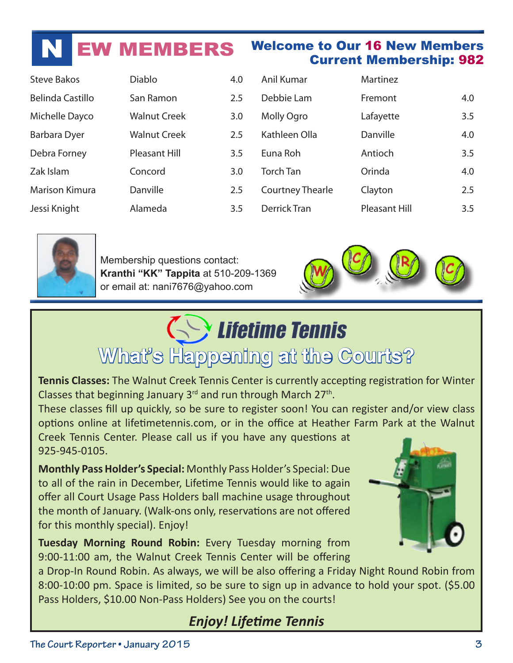## **W MEMBERS** Welcome to Our 16 New Members

| <b>Steve Bakos</b> | <b>Diablo</b>        | 4.0 |
|--------------------|----------------------|-----|
| Belinda Castillo   | San Ramon            | 2.5 |
| Michelle Dayco     | <b>Walnut Creek</b>  | 3.0 |
| Barbara Dyer       | <b>Walnut Creek</b>  | 2.5 |
| Debra Forney       | <b>Pleasant Hill</b> | 3.5 |
| Zak Islam          | Concord              | 3.0 |
| Marison Kimura     | Danville             | 2.5 |
| Jessi Knight       | Alameda              | 3.5 |

| Anil Kumar              | Martinez             |     |
|-------------------------|----------------------|-----|
| Debbie Lam              | Fremont              | 4.0 |
| Molly Ogro              | Lafayette            | 3.5 |
| Kathleen Olla           | Danville             | 4.0 |
| Euna Roh                | Antioch              | 3.5 |
| <b>Torch Tan</b>        | Orinda               | 4.0 |
| <b>Courtney Thearle</b> | Clayton              | 2.5 |
| <b>Derrick Tran</b>     | <b>Pleasant Hill</b> | 3.5 |



Membership questions contact: **Kranthi "KK" Tappita** at 510-209-1369 or email at: nani7676@yahoo.com



Current Membership: 982

## **Serve Lifetime Tennis What's Happening at the Courts?**

**Tennis Classes:** The Walnut Creek Tennis Center is currently accepting registration for Winter Classes that beginning January  $3^{rd}$  and run through March  $27^{th}$ .

These classes fill up quickly, so be sure to register soon! You can register and/or view class options online at lifetimetennis.com, or in the office at Heather Farm Park at the Walnut

Creek Tennis Center. Please call us if you have any questions at 925-945-0105.

**Monthly Pass Holder's Special:** Monthly Pass Holder's Special: Due to all of the rain in December, Lifetime Tennis would like to again offer all Court Usage Pass Holders ball machine usage throughout the month of January. (Walk-ons only, reservations are not offered for this monthly special). Enjoy!

**Tuesday Morning Round Robin:** Every Tuesday morning from 9:00-11:00 am, the Walnut Creek Tennis Center will be offering

a Drop-In Round Robin. As always, we will be also offering a Friday Night Round Robin from 8:00-10:00 pm. Space is limited, so be sure to sign up in advance to hold your spot. (\$5.00 Pass Holders, \$10.00 Non-Pass Holders) See you on the courts!

### *Enjoy! Lifetime Tennis*

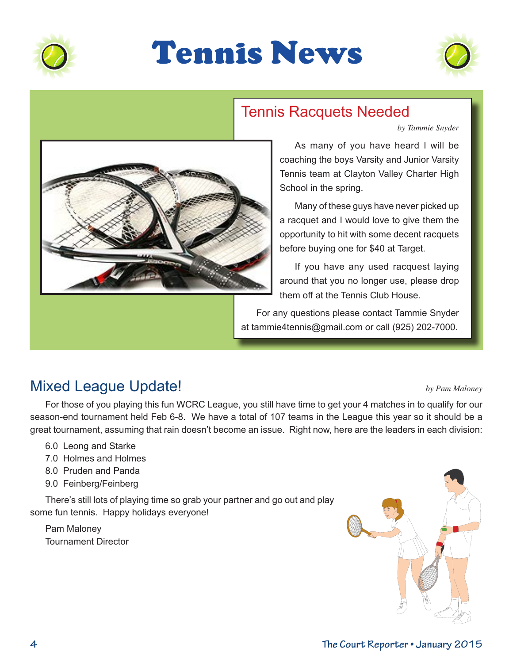

## Tennis News



### Tennis Racquets Needed

*by Tammie Snyder*



#### As many of you have heard I will be coaching the boys Varsity and Junior Varsity Tennis team at Clayton Valley Charter High School in the spring.

Many of these guys have never picked up a racquet and I would love to give them the opportunity to hit with some decent racquets before buying one for \$40 at Target.

If you have any used racquest laying around that you no longer use, please drop them off at the Tennis Club House.

For any questions please contact Tammie Snyder at tammie4tennis@gmail.com or call (925) 202-7000.

### Mixed League Update! *by Pam Maloney*

For those of you playing this fun WCRC League, you still have time to get your 4 matches in to qualify for our season-end tournament held Feb 6-8. We have a total of 107 teams in the League this year so it should be a great tournament, assuming that rain doesn't become an issue. Right now, here are the leaders in each division:

- 6.0 Leong and Starke
- 7.0 Holmes and Holmes
- 8.0 Pruden and Panda
- 9.0 Feinberg/Feinberg

There's still lots of playing time so grab your partner and go out and play some fun tennis. Happy holidays everyone!

Pam Maloney Tournament Director

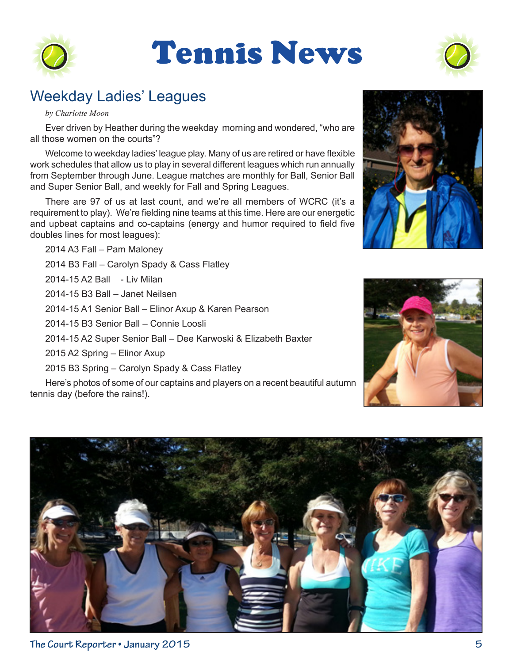

## Tennis News



### Weekday Ladies' Leagues

#### *by Charlotte Moon*

Ever driven by Heather during the weekday morning and wondered, "who are all those women on the courts"?

Welcome to weekday ladies' league play. Many of us are retired or have flexible work schedules that allow us to play in several different leagues which run annually from September through June. League matches are monthly for Ball, Senior Ball and Super Senior Ball, and weekly for Fall and Spring Leagues.

There are 97 of us at last count, and we're all members of WCRC (it's a requirement to play). We're fielding nine teams at this time. Here are our energetic and upbeat captains and co-captains (energy and humor required to field five doubles lines for most leagues):

2014 A3 Fall – Pam Maloney 2014 B3 Fall – Carolyn Spady & Cass Flatley 2014-15 A2 Ball - Liv Milan 2014-15 B3 Ball – Janet Neilsen 2014-15 A1 Senior Ball – Elinor Axup & Karen Pearson 2014-15 B3 Senior Ball – Connie Loosli 2014-15 A2 Super Senior Ball – Dee Karwoski & Elizabeth Baxter 2015 A2 Spring – Elinor Axup

2015 B3 Spring – Carolyn Spady & Cass Flatley

Here's photos of some of our captains and players on a recent beautiful autumn tennis day (before the rains!).





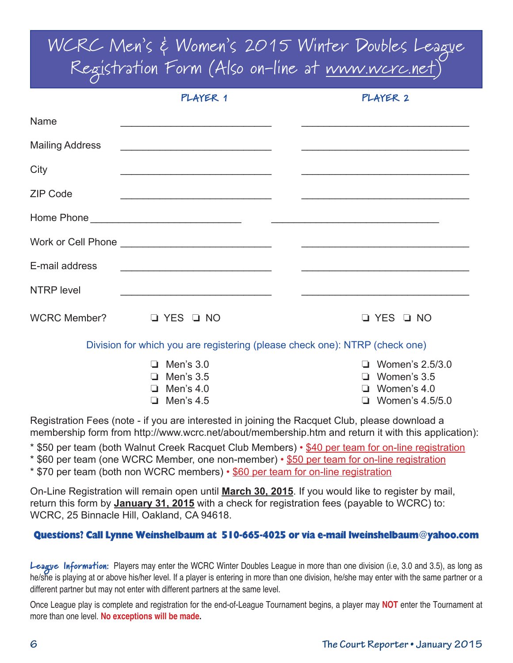WCRC Men's & Women's 2015 Winter Doubles League Registration Form (Also on-line at www.wcrc.net)

|                        | PLAYER 1                                                                                                                 | PLAYER 2                                                                                     |
|------------------------|--------------------------------------------------------------------------------------------------------------------------|----------------------------------------------------------------------------------------------|
| Name                   | <u> 1989 - Jan James James James James James James James James James James James James James James James James J</u>     |                                                                                              |
| <b>Mailing Address</b> | <u> 1989 - Jan James James, martin de la populación de la propia de la propia de la propia de la propia de la pr</u>     |                                                                                              |
| City                   | <u> 1980 - Johann John Stein, markin fan it fjort fan it fjort fan it fjort fan it fjort fan it fjort fan it fjort f</u> |                                                                                              |
| <b>ZIP Code</b>        | <u> 1989 - Johann Barn, mars ann an t-Amhain an t-Amhain an t-Amhain an t-Amhain an t-Amhain an t-Amhain an t-Amh</u>    |                                                                                              |
|                        |                                                                                                                          |                                                                                              |
|                        |                                                                                                                          |                                                                                              |
| E-mail address         |                                                                                                                          |                                                                                              |
| <b>NTRP</b> level      |                                                                                                                          |                                                                                              |
|                        | WCRC Member? $\Box$ YES $\Box$ NO                                                                                        | Q YES Q NO                                                                                   |
|                        |                                                                                                                          | Division for which you are registering (please check one): NTRP (check one)                  |
|                        | $\Box$ Men's 3.0<br>$\Box$ Men's 3.5<br>$\Box$ Men's 4.0<br>$\Box$ Men's 4.5                                             | Women's 2.5/3.0<br>n.<br>Women's 3.5<br>$\Box$<br>Women's 4.0<br>□<br>$\Box$ Women's 4.5/5.0 |

Registration Fees (note - if you are interested in joining the Racquet Club, please download a membership form from http://www.wcrc.net/about/membership.htm and return it with this application):

- \* \$50 per team (both Walnut Creek Racquet Club Members) \$40 per team for on-line registration
- \* \$60 per team (one WCRC Member, one non-member) \$50 per team for on-line registration
- \* \$70 per team (both non WCRC members) \$60 per team for on-line registration

On-Line Registration will remain open until **March 30, 2015**. If you would like to register by mail, return this form by **January 31, 2015** with a check for registration fees (payable to WCRC) to: WCRC, 25 Binnacle Hill, Oakland, CA 94618.

#### Questions? Call Lynne Weinshelbaum at 510-665-4025 or via e-mail lweinshelbaum@yahoo.com

League Information: Players may enter the WCRC Winter Doubles League in more than one division (i.e, 3.0 and 3.5), as long as he/she is playing at or above his/her level. If a player is entering in more than one division, he/she may enter with the same partner or a different partner but may not enter with different partners at the same level.

Once League play is complete and registration for the end-of-League Tournament begins, a player may **NOT** enter the Tournament at more than one level. **No exceptions will be made.**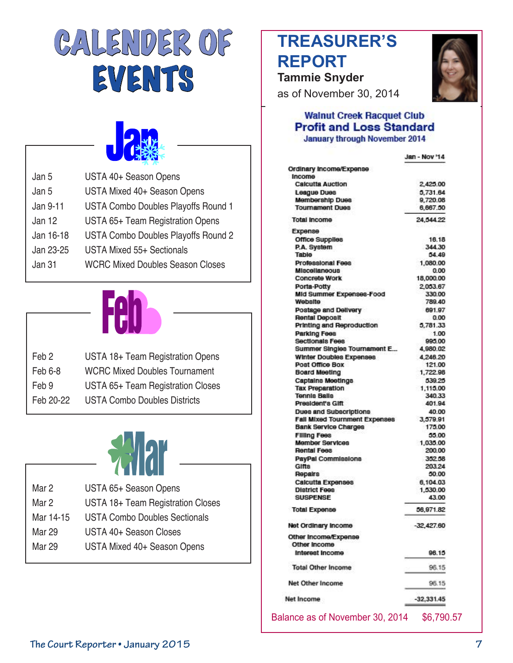# CALENDER OF EVENTS



| Jan 5     | USTA 40+ Season Opens                      |
|-----------|--------------------------------------------|
| Jan 5     | USTA Mixed 40+ Season Opens                |
| Jan 9-11  | <b>USTA Combo Doubles Playoffs Round 1</b> |
| Jan 12    | USTA 65+ Team Registration Opens           |
| Jan 16-18 | USTA Combo Doubles Playoffs Round 2        |
| Jan 23-25 | USTA Mixed 55+ Sectionals                  |
| Jan 31    | <b>WCRC Mixed Doubles Season Closes</b>    |
|           |                                            |



| Feb 2     | USTA 18+ Team Registration Opens     |
|-----------|--------------------------------------|
| Feb 6-8   | <b>WCRC Mixed Doubles Tournament</b> |
| Feb 9     | USTA 65+ Team Registration Closes    |
| Feb 20-22 | <b>USTA Combo Doubles Districts</b>  |



| Mar 2         | USTA 65+ Season Opens                |
|---------------|--------------------------------------|
| Mar 2         | USTA 18+ Team Registration Closes    |
| Mar 14-15     | <b>USTA Combo Doubles Sectionals</b> |
| Mar 29        | USTA 40+ Season Closes               |
| <b>Mar 29</b> | USTA Mixed 40+ Season Opens          |
|               |                                      |

### **TREASURER'S REPORT Tammie Snyder**



as of November 30, 2014

#### **Walnut Creek Racquet Club Profit and Loss Standard January through November 2014**

| Jan - Nov '14 |
|---------------|
|               |
|               |
| 2,425.00      |
| 5,731.64      |
| 9,720.08      |
| 6,667.50      |
| 24,544.22     |
|               |
| 16.18         |
| 344.30        |
| 54.49         |
| 1.080.00      |
| 0.00          |
| 18,000.00     |
| 2,053.67      |
| 330.00        |
| 789.40        |
| 691.97        |
| 0.00          |
| 5,781.33      |
| 1.00          |
| 995.00        |
| 4,980.02      |
| 4.246.20      |
| 121.00        |
| 1,722.98      |
| 539.25        |
| 1,115.00      |
| 340.33        |
| 401.94        |
|               |
| 40.00         |
| 3,579.91      |
| 175.00        |
| 55.00         |
| 1,035.00      |
| 200.00        |
| 352.58        |
| 203.24        |
| 50.00         |
| 6.104.03      |
| 1,530.00      |
| 43.00         |
| 56,971.82     |
| $-32,427.60$  |
|               |
| 96.15         |
| 96.15         |
| 96.15         |
| $-32,331.45$  |
|               |

Balance as of November 30, 2014 \$6,790.57